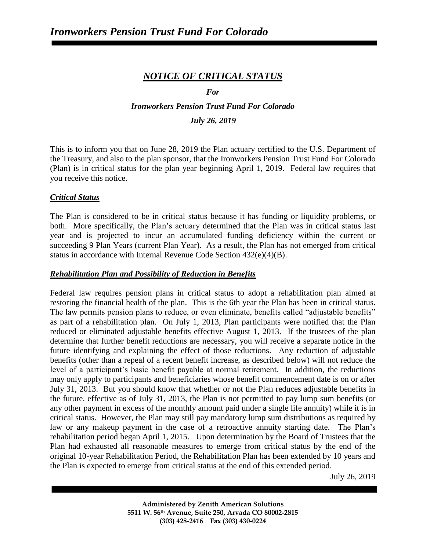# *NOTICE OF CRITICAL STATUS*

### *For*

# *Ironworkers Pension Trust Fund For Colorado*

### *July 26, 2019*

This is to inform you that on June 28, 2019 the Plan actuary certified to the U.S. Department of the Treasury, and also to the plan sponsor, that the Ironworkers Pension Trust Fund For Colorado (Plan) is in critical status for the plan year beginning April 1, 2019. Federal law requires that you receive this notice.

### *Critical Status*

The Plan is considered to be in critical status because it has funding or liquidity problems, or both. More specifically, the Plan's actuary determined that the Plan was in critical status last year and is projected to incur an accumulated funding deficiency within the current or succeeding 9 Plan Years (current Plan Year). As a result, the Plan has not emerged from critical status in accordance with Internal Revenue Code Section 432(e)(4)(B).

### *Rehabilitation Plan and Possibility of Reduction in Benefits*

Federal law requires pension plans in critical status to adopt a rehabilitation plan aimed at restoring the financial health of the plan. This is the 6th year the Plan has been in critical status. The law permits pension plans to reduce, or even eliminate, benefits called "adjustable benefits" as part of a rehabilitation plan. On July 1, 2013, Plan participants were notified that the Plan reduced or eliminated adjustable benefits effective August 1, 2013. If the trustees of the plan determine that further benefit reductions are necessary, you will receive a separate notice in the future identifying and explaining the effect of those reductions. Any reduction of adjustable benefits (other than a repeal of a recent benefit increase, as described below) will not reduce the level of a participant's basic benefit payable at normal retirement. In addition, the reductions may only apply to participants and beneficiaries whose benefit commencement date is on or after July 31, 2013. But you should know that whether or not the Plan reduces adjustable benefits in the future, effective as of July 31, 2013, the Plan is not permitted to pay lump sum benefits (or any other payment in excess of the monthly amount paid under a single life annuity) while it is in critical status. However, the Plan may still pay mandatory lump sum distributions as required by law or any makeup payment in the case of a retroactive annuity starting date. The Plan's rehabilitation period began April 1, 2015. Upon determination by the Board of Trustees that the Plan had exhausted all reasonable measures to emerge from critical status by the end of the original 10-year Rehabilitation Period, the Rehabilitation Plan has been extended by 10 years and the Plan is expected to emerge from critical status at the end of this extended period.

July 26, 2019